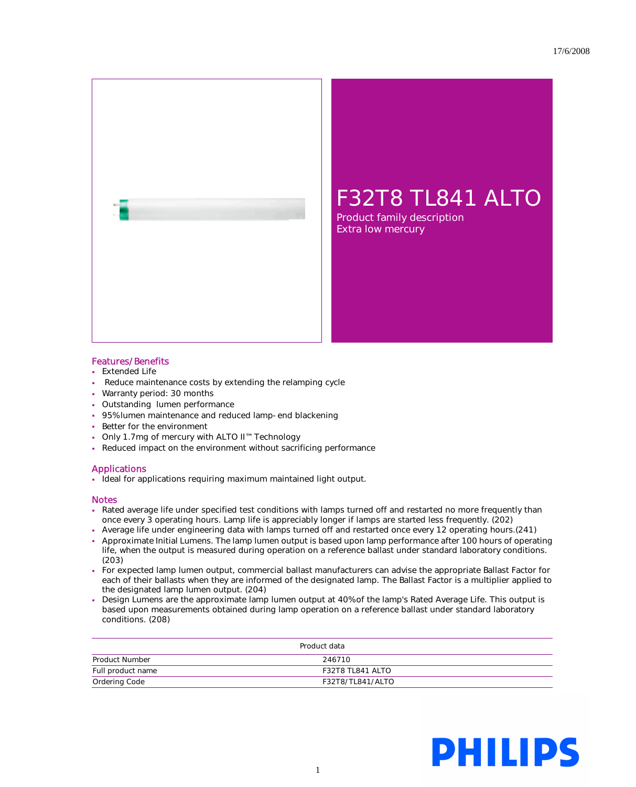

## Features/Benefits

- Extended Life
- Reduce maintenance costs by extending the relamping cycle
- Warranty period: 30 months
- Outstanding lumen performance
- 95% lumen maintenance and reduced lamp-end blackening
- Better for the environment
- Only 1.7mg of mercury with ALTO II™ Technology
- Reduced impact on the environment without sacrificing performance

## Applications

• Ideal for applications requiring maximum maintained light output.

## Notes

- Rated average life under specified test conditions with lamps turned off and restarted no more frequently than once every 3 operating hours. Lamp life is appreciably longer if lamps are started less frequently. (202)
- Average life under engineering data with lamps turned off and restarted once every 12 operating hours.(241)
- Approximate Initial Lumens. The lamp lumen output is based upon lamp performance after 100 hours of operating life, when the output is measured during operation on a reference ballast under standard laboratory conditions. (203)
- For expected lamp lumen output, commercial ballast manufacturers can advise the appropriate Ballast Factor for each of their ballasts when they are informed of the designated lamp. The Ballast Factor is a multiplier applied to the designated lamp lumen output. (204)
- Design Lumens are the approximate lamp lumen output at 40% of the lamp's Rated Average Life. This output is based upon measurements obtained during lamp operation on a reference ballast under standard laboratory conditions. (208)

| Product data      |                         |
|-------------------|-------------------------|
| Product Number    | 246710                  |
| Full product name | <b>F32T8 TL841 ALTO</b> |
| Ordering Code     | F32T8/TL841/ALTO        |

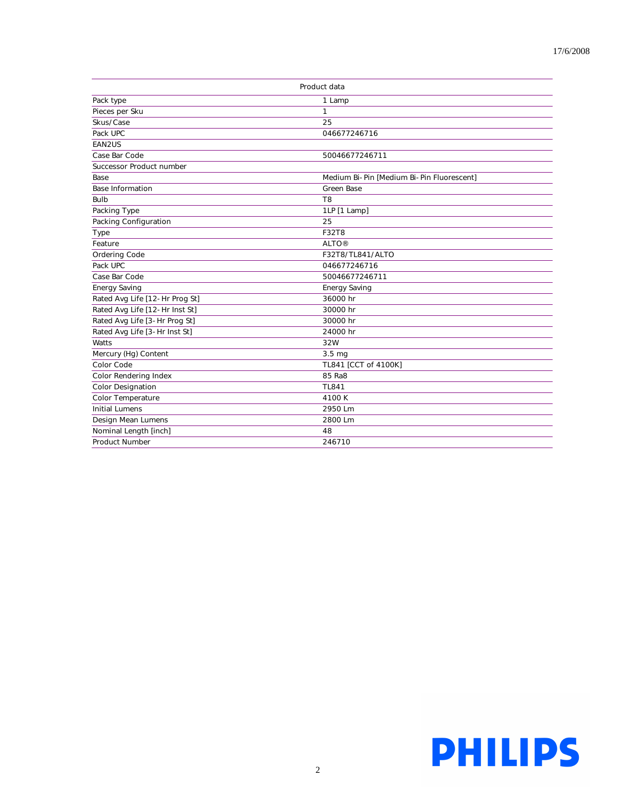| Product data                   |                                           |
|--------------------------------|-------------------------------------------|
| Pack type                      | 1 Lamp                                    |
| Pieces per Sku                 | $\mathbf{1}$                              |
| Skus/Case                      | 25                                        |
| Pack UPC                       | 046677246716                              |
| EAN2US                         |                                           |
| Case Bar Code                  | 50046677246711                            |
| Successor Product number       |                                           |
| Base                           | Medium Bi-Pin [Medium Bi-Pin Fluorescent] |
| <b>Base Information</b>        | <b>Green Base</b>                         |
| <b>Bulb</b>                    | T <sub>8</sub>                            |
| Packing Type                   | 1LP [1 Lamp]                              |
| Packing Configuration          | 25                                        |
| Type                           | <b>F32T8</b>                              |
| Feature                        | <b>ALTO®</b>                              |
| Ordering Code                  | F32T8/TL841/ALTO                          |
| Pack UPC                       | 046677246716                              |
| Case Bar Code                  | 50046677246711                            |
| <b>Energy Saving</b>           | <b>Energy Saving</b>                      |
| Rated Avg Life [12-Hr Prog St] | 36000 hr                                  |
| Rated Avg Life [12-Hr Inst St] | 30000 hr                                  |
| Rated Avg Life [3-Hr Prog St]  | 30000 hr                                  |
| Rated Avg Life [3-Hr Inst St]  | 24000 hr                                  |
| Watts                          | 32W                                       |
| Mercury (Hg) Content           | 3.5 mg                                    |
| Color Code                     | TL841 [CCT of 4100K]                      |
| Color Rendering Index          | 85 Ra8                                    |
| <b>Color Designation</b>       | <b>TL841</b>                              |
| Color Temperature              | 4100K                                     |
| <b>Initial Lumens</b>          | 2950 Lm                                   |
| Design Mean Lumens             | 2800 Lm                                   |
| Nominal Length [inch]          | 48                                        |
| <b>Product Number</b>          | 246710                                    |